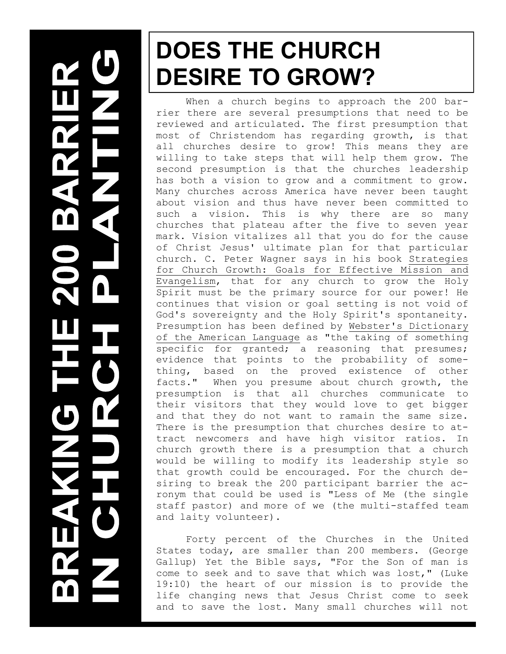# **DOES THE CHURCH DESIRE TO GROW?**

When a church begins to approach the 200 barrier there are several presumptions that need to be reviewed and articulated. The first presumption that most of Christendom has regarding growth, is that all churches desire to grow! This means they are willing to take steps that will help them grow. The second presumption is that the churches leadership has both a vision to grow and a commitment to grow. Many churches across America have never been taught about vision and thus have never been committed to such a vision. This is why there are so many churches that plateau after the five to seven year mark. Vision vitalizes all that you do for the cause of Christ Jesus' ultimate plan for that particular church. C. Peter Wagner says in his book Strategies for Church Growth: Goals for Effective Mission and Evangelism, that for any church to grow the Holy Spirit must be the primary source for our power! He continues that vision or goal setting is not void of God's sovereignty and the Holy Spirit's spontaneity. Presumption has been defined by Webster's Dictionary of the American Language as "the taking of something specific for granted; a reasoning that presumes; evidence that points to the probability of something, based on the proved existence of other facts." When you presume about church growth, the presumption is that all churches communicate to their visitors that they would love to get bigger and that they do not want to ramain the same size. There is the presumption that churches desire to attract newcomers and have high visitor ratios. In church growth there is a presumption that a church would be willing to modify its leadership style so that growth could be encouraged. For the church desiring to break the 200 participant barrier the acronym that could be used is "Less of Me (the single staff pastor) and more of we (the multi-staffed team and laity volunteer).

 Forty percent of the Churches in the United States today, are smaller than 200 members. (George Gallup) Yet the Bible says, "For the Son of man is come to seek and to save that which was lost," (Luke 19:10) the heart of our mission is to provide the life changing news that Jesus Christ come to seek and to save the lost. Many small churches will not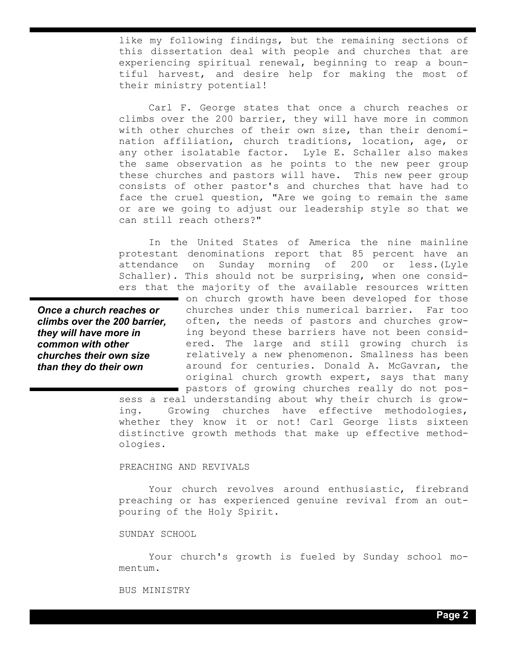like my following findings, but the remaining sections of this dissertation deal with people and churches that are experiencing spiritual renewal, beginning to reap a bountiful harvest, and desire help for making the most of their ministry potential!

 Carl F. George states that once a church reaches or climbs over the 200 barrier, they will have more in common with other churches of their own size, than their denomination affiliation, church traditions, location, age, or any other isolatable factor. Lyle E. Schaller also makes the same observation as he points to the new peer group these churches and pastors will have. This new peer group consists of other pastor's and churches that have had to face the cruel question, "Are we going to remain the same or are we going to adjust our leadership style so that we can still reach others?"

 In the United States of America the nine mainline protestant denominations report that 85 percent have an attendance on Sunday morning of 200 or less.(Lyle Schaller). This should not be surprising, when one considers that the majority of the available resources written

*Once a church reaches or climbs over the 200 barrier, they will have more in common with other churches their own size than they do their own* 

on church growth have been developed for those churches under this numerical barrier. Far too often, the needs of pastors and churches growing beyond these barriers have not been considered. The large and still growing church is relatively a new phenomenon. Smallness has been around for centuries. Donald A. McGavran, the original church growth expert, says that many pastors of growing churches really do not pos-

sess a real understanding about why their church is growing. Growing churches have effective methodologies, whether they know it or not! Carl George lists sixteen distinctive growth methods that make up effective methodologies.

#### PREACHING AND REVIVALS

 Your church revolves around enthusiastic, firebrand preaching or has experienced genuine revival from an outpouring of the Holy Spirit.

#### SUNDAY SCHOOL

 Your church's growth is fueled by Sunday school momentum.

BUS MINISTRY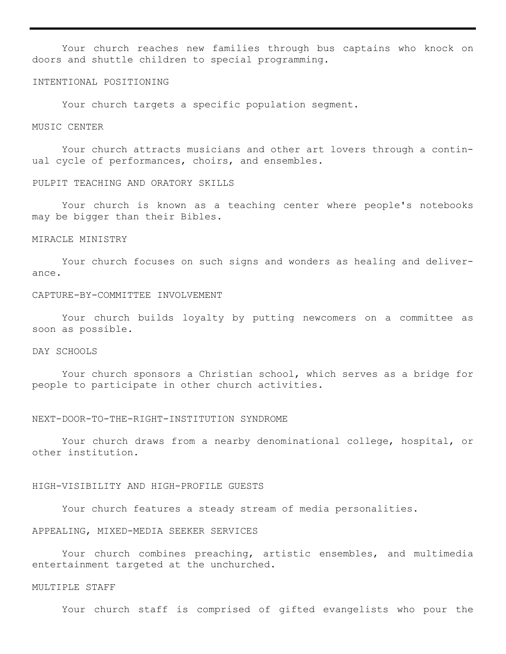Your church reaches new families through bus captains who knock on doors and shuttle children to special programming.

# INTENTIONAL POSITIONING

Your church targets a specific population segment.

# MUSIC CENTER

 Your church attracts musicians and other art lovers through a continual cycle of performances, choirs, and ensembles.

# PULPIT TEACHING AND ORATORY SKILLS

 Your church is known as a teaching center where people's notebooks may be bigger than their Bibles.

#### MIRACLE MINISTRY

 Your church focuses on such signs and wonders as healing and deliverance.

# CAPTURE-BY-COMMITTEE INVOLVEMENT

 Your church builds loyalty by putting newcomers on a committee as soon as possible.

#### DAY SCHOOLS

 Your church sponsors a Christian school, which serves as a bridge for people to participate in other church activities.

# NEXT-DOOR-TO-THE-RIGHT-INSTITUTION SYNDROME

 Your church draws from a nearby denominational college, hospital, or other institution.

# HIGH-VISIBILITY AND HIGH-PROFILE GUESTS

Your church features a steady stream of media personalities.

# APPEALING, MIXED-MEDIA SEEKER SERVICES

 Your church combines preaching, artistic ensembles, and multimedia entertainment targeted at the unchurched.

# MULTIPLE STAFF

**Page 3**  Your church staff is comprised of gifted evangelists who pour the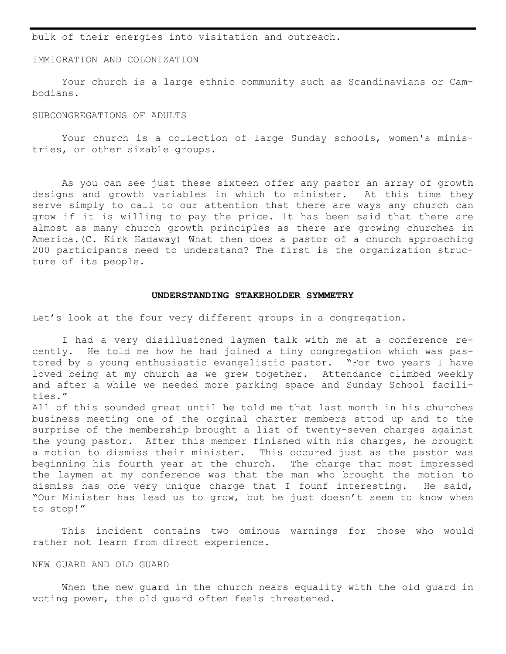bulk of their energies into visitation and outreach.

# IMMIGRATION AND COLONIZATION

 Your church is a large ethnic community such as Scandinavians or Cambodians.

#### SUBCONGREGATIONS OF ADULTS

Your church is a collection of large Sunday schools, women's ministries, or other sizable groups.

 As you can see just these sixteen offer any pastor an array of growth designs and growth variables in which to minister. At this time they serve simply to call to our attention that there are ways any church can grow if it is willing to pay the price. It has been said that there are almost as many church growth principles as there are growing churches in America.(C. Kirk Hadaway) What then does a pastor of a church approaching 200 participants need to understand? The first is the organization structure of its people.

# **UNDERSTANDING STAKEHOLDER SYMMETRY**

Let's look at the four very different groups in a congregation.

 I had a very disillusioned laymen talk with me at a conference recently. He told me how he had joined a tiny congregation which was pastored by a young enthusiastic evangelistic pastor. "For two years I have loved being at my church as we grew together. Attendance climbed weekly and after a while we needed more parking space and Sunday School facilities."

All of this sounded great until he told me that last month in his churches business meeting one of the orginal charter members sttod up and to the surprise of the membership brought a list of twenty-seven charges against the young pastor. After this member finished with his charges, he brought a motion to dismiss their minister. This occured just as the pastor was beginning his fourth year at the church. The charge that most impressed the laymen at my conference was that the man who brought the motion to dismiss has one very unique charge that I founf interesting. He said, "Our Minister has lead us to grow, but he just doesn't seem to know when to stop!"

 This incident contains two ominous warnings for those who would rather not learn from direct experience.

# NEW GUARD AND OLD GUARD

 When the new guard in the church nears equality with the old guard in voting power, the old guard often feels threatened.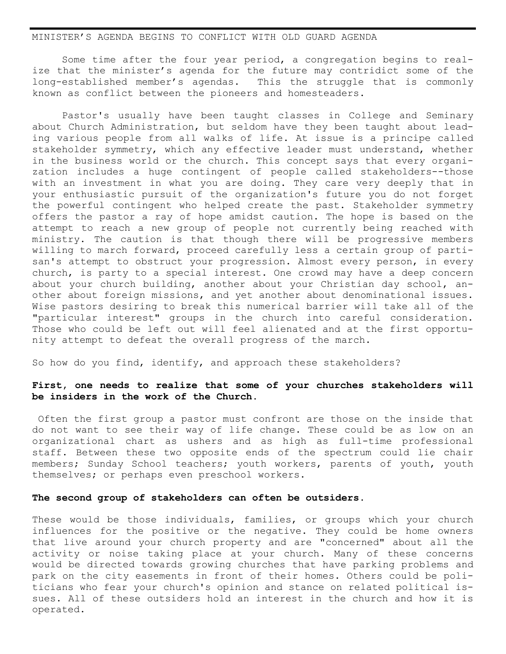# MINISTER'S AGENDA BEGINS TO CONFLICT WITH OLD GUARD AGENDA

 Some time after the four year period, a congregation begins to realize that the minister's agenda for the future may contridict some of the long-established member's agendas. This the struggle that is commonly known as conflict between the pioneers and homesteaders.

 Pastor's usually have been taught classes in College and Seminary about Church Administration, but seldom have they been taught about leading various people from all walks of life. At issue is a principe called stakeholder symmetry, which any effective leader must understand, whether in the business world or the church. This concept says that every organization includes a huge contingent of people called stakeholders--those with an investment in what you are doing. They care very deeply that in your enthusiastic pursuit of the organization's future you do not forget the powerful contingent who helped create the past. Stakeholder symmetry offers the pastor a ray of hope amidst caution. The hope is based on the attempt to reach a new group of people not currently being reached with ministry. The caution is that though there will be progressive members willing to march forward, proceed carefully less a certain group of partisan's attempt to obstruct your progression. Almost every person, in every church, is party to a special interest. One crowd may have a deep concern about your church building, another about your Christian day school, another about foreign missions, and yet another about denominational issues. Wise pastors desiring to break this numerical barrier will take all of the "particular interest" groups in the church into careful consideration. Those who could be left out will feel alienated and at the first opportunity attempt to defeat the overall progress of the march.

So how do you find, identify, and approach these stakeholders?

# **First, one needs to realize that some of your churches stakeholders will be insiders in the work of the Church.**

 Often the first group a pastor must confront are those on the inside that do not want to see their way of life change. These could be as low on an organizational chart as ushers and as high as full-time professional staff. Between these two opposite ends of the spectrum could lie chair members; Sunday School teachers; youth workers, parents of youth, youth themselves; or perhaps even preschool workers.

# **The second group of stakeholders can often be outsiders.**

These would be those individuals, families, or groups which your church influences for the positive or the negative. They could be home owners that live around your church property and are "concerned" about all the activity or noise taking place at your church. Many of these concerns would be directed towards growing churches that have parking problems and park on the city easements in front of their homes. Others could be politicians who fear your church's opinion and stance on related political issues. All of these outsiders hold an interest in the church and how it is operated.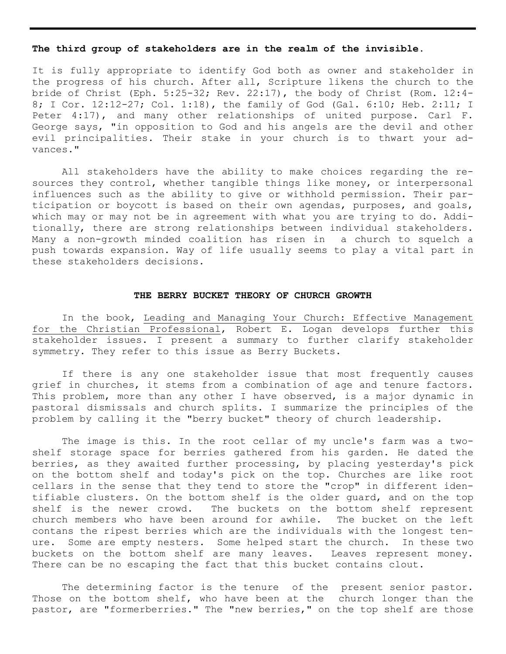# **The third group of stakeholders are in the realm of the invisible.**

It is fully appropriate to identify God both as owner and stakeholder in the progress of his church. After all, Scripture likens the church to the bride of Christ (Eph.  $5:25-32$ ; Rev.  $22:17$ ), the body of Christ (Rom.  $12:4-$ 8; I Cor. 12:12-27; Col. 1:18), the family of God (Gal. 6:10; Heb. 2:11; I Peter 4:17), and many other relationships of united purpose. Carl F. George says, "in opposition to God and his angels are the devil and other evil principalities. Their stake in your church is to thwart your advances."

 All stakeholders have the ability to make choices regarding the resources they control, whether tangible things like money, or interpersonal influences such as the ability to give or withhold permission. Their participation or boycott is based on their own agendas, purposes, and goals, which may or may not be in agreement with what you are trying to do. Additionally, there are strong relationships between individual stakeholders. Many a non-growth minded coalition has risen in a church to squelch a push towards expansion. Way of life usually seems to play a vital part in these stakeholders decisions.

# **THE BERRY BUCKET THEORY OF CHURCH GROWTH**

 In the book, Leading and Managing Your Church: Effective Management for the Christian Professional, Robert E. Logan develops further this stakeholder issues. I present a summary to further clarify stakeholder symmetry. They refer to this issue as Berry Buckets.

 If there is any one stakeholder issue that most frequently causes grief in churches, it stems from a combination of age and tenure factors. This problem, more than any other I have observed, is a major dynamic in pastoral dismissals and church splits. I summarize the principles of the problem by calling it the "berry bucket" theory of church leadership.

 The image is this. In the root cellar of my uncle's farm was a twoshelf storage space for berries gathered from his garden. He dated the berries, as they awaited further processing, by placing yesterday's pick on the bottom shelf and today's pick on the top. Churches are like root cellars in the sense that they tend to store the "crop" in different identifiable clusters. On the bottom shelf is the older guard, and on the top shelf is the newer crowd. The buckets on the bottom shelf represent church members who have been around for awhile. The bucket on the left contans the ripest berries which are the individuals with the longest tenure. Some are empty nesters. Some helped start the church. In these two buckets on the bottom shelf are many leaves. Leaves represent money. There can be no escaping the fact that this bucket contains clout.

**Page 6**  pastor, are "formerberries." The "new berries," on the top shelf are those The determining factor is the tenure of the present senior pastor. Those on the bottom shelf, who have been at the church longer than the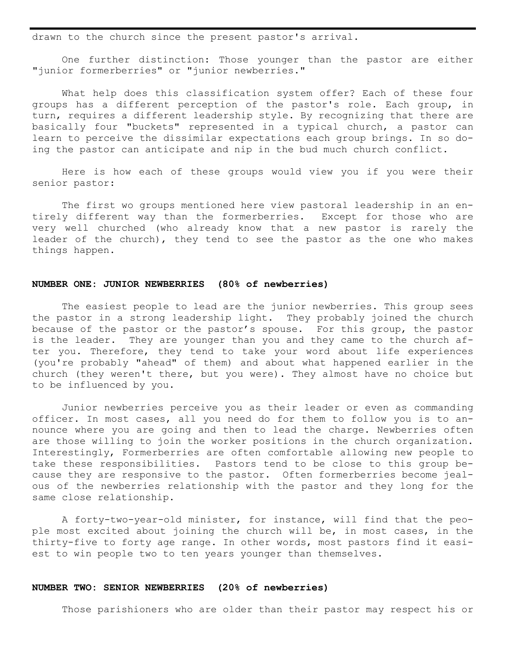drawn to the church since the present pastor's arrival.

 One further distinction: Those younger than the pastor are either "junior formerberries" or "junior newberries."

 What help does this classification system offer? Each of these four groups has a different perception of the pastor's role. Each group, in turn, requires a different leadership style. By recognizing that there are basically four "buckets" represented in a typical church, a pastor can learn to perceive the dissimilar expectations each group brings. In so doing the pastor can anticipate and nip in the bud much church conflict.

 Here is how each of these groups would view you if you were their senior pastor:

 The first wo groups mentioned here view pastoral leadership in an entirely different way than the formerberries. Except for those who are very well churched (who already know that a new pastor is rarely the leader of the church), they tend to see the pastor as the one who makes things happen.

#### **NUMBER ONE: JUNIOR NEWBERRIES (80% of newberries)**

 The easiest people to lead are the junior newberries. This group sees the pastor in a strong leadership light. They probably joined the church because of the pastor or the pastor's spouse. For this group, the pastor is the leader. They are younger than you and they came to the church after you. Therefore, they tend to take your word about life experiences (you're probably "ahead" of them) and about what happened earlier in the church (they weren't there, but you were). They almost have no choice but to be influenced by you.

 Junior newberries perceive you as their leader or even as commanding officer. In most cases, all you need do for them to follow you is to announce where you are going and then to lead the charge. Newberries often are those willing to join the worker positions in the church organization. Interestingly, Formerberries are often comfortable allowing new people to take these responsibilities. Pastors tend to be close to this group because they are responsive to the pastor. Often formerberries become jealous of the newberries relationship with the pastor and they long for the same close relationship.

 A forty-two-year-old minister, for instance, will find that the people most excited about joining the church will be, in most cases, in the thirty-five to forty age range. In other words, most pastors find it easiest to win people two to ten years younger than themselves.

# **NUMBER TWO: SENIOR NEWBERRIES (20% of newberries)**

Those parishioners who are older than their pastor may respect his or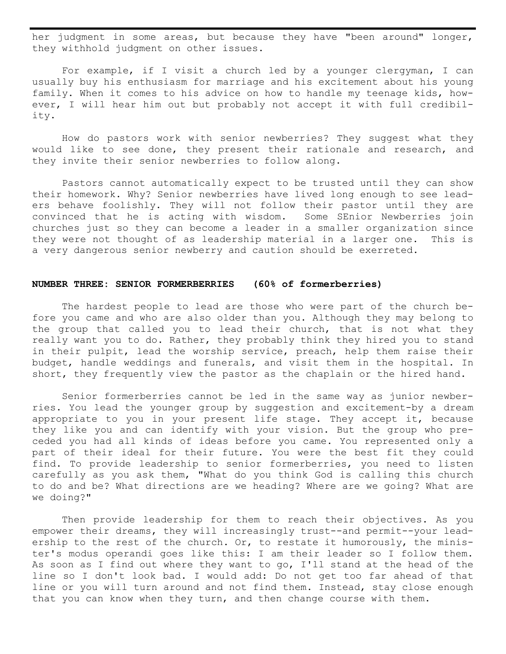her judgment in some areas, but because they have "been around" longer, they withhold judgment on other issues.

 For example, if I visit a church led by a younger clergyman, I can usually buy his enthusiasm for marriage and his excitement about his young family. When it comes to his advice on how to handle my teenage kids, however, I will hear him out but probably not accept it with full credibility.

 How do pastors work with senior newberries? They suggest what they would like to see done, they present their rationale and research, and they invite their senior newberries to follow along.

 Pastors cannot automatically expect to be trusted until they can show their homework. Why? Senior newberries have lived long enough to see leaders behave foolishly. They will not follow their pastor until they are convinced that he is acting with wisdom. Some SEnior Newberries join churches just so they can become a leader in a smaller organization since they were not thought of as leadership material in a larger one. This is a very dangerous senior newberry and caution should be exerreted.

#### **NUMBER THREE: SENIOR FORMERBERRIES (60% of formerberries)**

 The hardest people to lead are those who were part of the church before you came and who are also older than you. Although they may belong to the group that called you to lead their church, that is not what they really want you to do. Rather, they probably think they hired you to stand in their pulpit, lead the worship service, preach, help them raise their budget, handle weddings and funerals, and visit them in the hospital. In short, they frequently view the pastor as the chaplain or the hired hand.

 Senior formerberries cannot be led in the same way as junior newberries. You lead the younger group by suggestion and excitement-by a dream appropriate to you in your present life stage. They accept it, because they like you and can identify with your vision. But the group who preceded you had all kinds of ideas before you came. You represented only a part of their ideal for their future. You were the best fit they could find. To provide leadership to senior formerberries, you need to listen carefully as you ask them, "What do you think God is calling this church to do and be? What directions are we heading? Where are we going? What are we doing?"

 Then provide leadership for them to reach their objectives. As you empower their dreams, they will increasingly trust--and permit--your leadership to the rest of the church. Or, to restate it humorously, the minister's modus operandi goes like this: I am their leader so I follow them. As soon as I find out where they want to go, I'll stand at the head of the line so I don't look bad. I would add: Do not get too far ahead of that line or you will turn around and not find them. Instead, stay close enough that you can know when they turn, and then change course with them.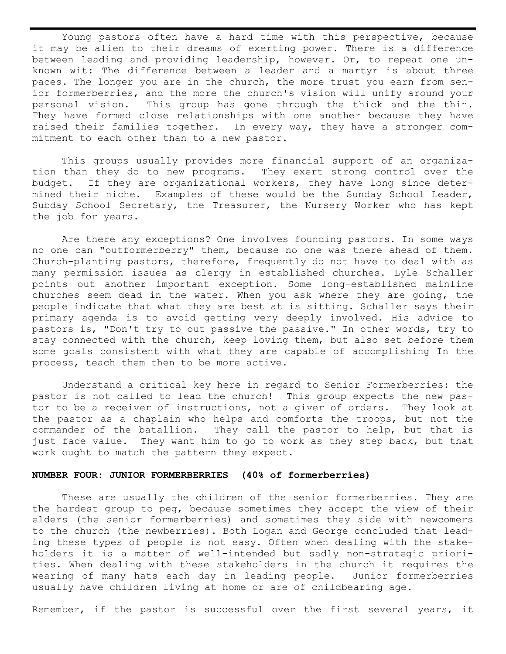Young pastors often have a hard time with this perspective, because it may be alien to their dreams of exerting power. There is a difference between leading and providing leadership, however. Or, to repeat one unknown wit: The difference between a leader and a martyr is about three paces. The longer you are in the church, the more trust you earn from senior formerberries, and the more the church's vision will unify around your personal vision. This group has gone through the thick and the thin. They have formed close relationships with one another because they have raised their families together. In every way, they have a stronger commitment to each other than to a new pastor.

 This groups usually provides more financial support of an organization than they do to new programs. They exert strong control over the budget. If they are organizational workers, they have long since determined their niche. Examples of these would be the Sunday School Leader, Subday School Secretary, the Treasurer, the Nursery Worker who has kept the job for years.

 Are there any exceptions? One involves founding pastors. In some ways no one can "outformerberry" them, because no one was there ahead of them. Church-planting pastors, therefore, frequently do not have to deal with as many permission issues as clergy in established churches. Lyle Schaller points out another important exception. Some long-established mainline churches seem dead in the water. When you ask where they are going, the people indicate that what they are best at is sitting. Schaller says their primary agenda is to avoid getting very deeply involved. His advice to pastors is, "Don't try to out passive the passive." In other words, try to stay connected with the church, keep loving them, but also set before them some goals consistent with what they are capable of accomplishing In the process, teach them then to be more active.

 Understand a critical key here in regard to Senior Formerberries: the pastor is not called to lead the church! This group expects the new pastor to be a receiver of instructions, not a giver of orders. They look at the pastor as a chaplain who helps and comforts the troops, but not the commander of the batallion. They call the pastor to help, but that is just face value. They want him to go to work as they step back, but that work ought to match the pattern they expect.

#### **NUMBER FOUR: JUNIOR FORMERBERRIES (40% of formerberries)**

 These are usually the children of the senior formerberries. They are the hardest group to peg, because sometimes they accept the view of their elders (the senior formerberries) and sometimes they side with newcomers to the church (the newberries). Both Logan and George concluded that leading these types of people is not easy. Often when dealing with the stakeholders it is a matter of well-intended but sadly non-strategic priorities. When dealing with these stakeholders in the church it requires the wearing of many hats each day in leading people. Junior formerberries usually have children living at home or are of childbearing age.

**Page 9**  Remember, if the pastor is successful over the first several years, it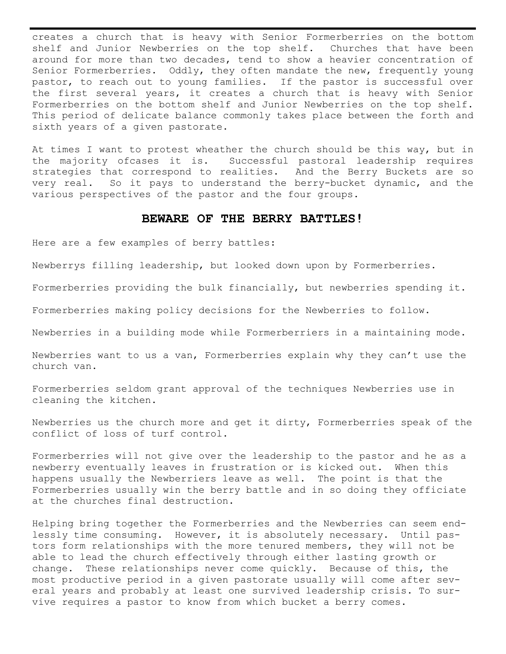creates a church that is heavy with Senior Formerberries on the bottom shelf and Junior Newberries on the top shelf. Churches that have been around for more than two decades, tend to show a heavier concentration of Senior Formerberries. Oddly, they often mandate the new, frequently young pastor, to reach out to young families. If the pastor is successful over the first several years, it creates a church that is heavy with Senior Formerberries on the bottom shelf and Junior Newberries on the top shelf. This period of delicate balance commonly takes place between the forth and sixth years of a given pastorate.

At times I want to protest wheather the church should be this way, but in the majority ofcases it is. Successful pastoral leadership requires strategies that correspond to realities. And the Berry Buckets are so very real. So it pays to understand the berry-bucket dynamic, and the various perspectives of the pastor and the four groups.

# **BEWARE OF THE BERRY BATTLES!**

Here are a few examples of berry battles:

Newberrys filling leadership, but looked down upon by Formerberries.

Formerberries providing the bulk financially, but newberries spending it.

Formerberries making policy decisions for the Newberries to follow.

Newberries in a building mode while Formerberriers in a maintaining mode.

Newberries want to us a van, Formerberries explain why they can't use the church van.

Formerberries seldom grant approval of the techniques Newberries use in cleaning the kitchen.

Newberries us the church more and get it dirty, Formerberries speak of the conflict of loss of turf control.

Formerberries will not give over the leadership to the pastor and he as a newberry eventually leaves in frustration or is kicked out. When this happens usually the Newberriers leave as well. The point is that the Formerberries usually win the berry battle and in so doing they officiate at the churches final destruction.

Helping bring together the Formerberries and the Newberries can seem endlessly time consuming. However, it is absolutely necessary. Until pastors form relationships with the more tenured members, they will not be able to lead the church effectively through either lasting growth or change. These relationships never come quickly. Because of this, the most productive period in a given pastorate usually will come after several years and probably at least one survived leadership crisis. To survive requires a pastor to know from which bucket a berry comes.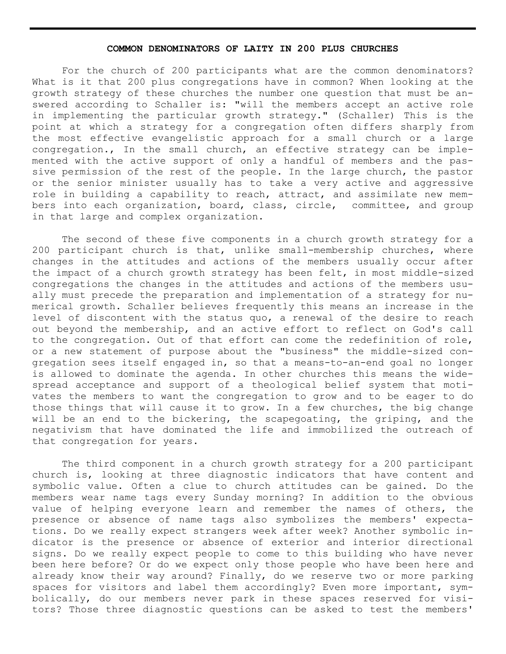# **COMMON DENOMINATORS OF LAITY IN 200 PLUS CHURCHES**

 For the church of 200 participants what are the common denominators? What is it that 200 plus congregations have in common? When looking at the growth strategy of these churches the number one question that must be answered according to Schaller is: "will the members accept an active role in implementing the particular growth strategy." (Schaller) This is the point at which a strategy for a congregation often differs sharply from the most effective evangelistic approach for a small church or a large congregation., In the small church, an effective strategy can be implemented with the active support of only a handful of members and the passive permission of the rest of the people. In the large church, the pastor or the senior minister usually has to take a very active and aggressive role in building a capability to reach, attract, and assimilate new members into each organization, board, class, circle, committee, and group in that large and complex organization.

 The second of these five components in a church growth strategy for a 200 participant church is that, unlike small-membership churches, where changes in the attitudes and actions of the members usually occur after the impact of a church growth strategy has been felt, in most middle-sized congregations the changes in the attitudes and actions of the members usually must precede the preparation and implementation of a strategy for numerical growth. Schaller believes frequently this means an increase in the level of discontent with the status quo, a renewal of the desire to reach out beyond the membership, and an active effort to reflect on God's call to the congregation. Out of that effort can come the redefinition of role, or a new statement of purpose about the "business" the middle-sized congregation sees itself engaged in, so that a means-to-an-end goal no longer is allowed to dominate the agenda. In other churches this means the widespread acceptance and support of a theological belief system that motivates the members to want the congregation to grow and to be eager to do those things that will cause it to grow. In a few churches, the big change will be an end to the bickering, the scapegoating, the griping, and the negativism that have dominated the life and immobilized the outreach of that congregation for years.

tors? Those three diagnostic questions can be asked to test the members' The third component in a church growth strategy for a 200 participant church is, looking at three diagnostic indicators that have content and symbolic value. Often a clue to church attitudes can be gained. Do the members wear name tags every Sunday morning? In addition to the obvious value of helping everyone learn and remember the names of others, the presence or absence of name tags also symbolizes the members' expectations. Do we really expect strangers week after week? Another symbolic indicator is the presence or absence of exterior and interior directional signs. Do we really expect people to come to this building who have never been here before? Or do we expect only those people who have been here and already know their way around? Finally, do we reserve two or more parking spaces for visitors and label them accordingly? Even more important, symbolically, do our members never park in these spaces reserved for visi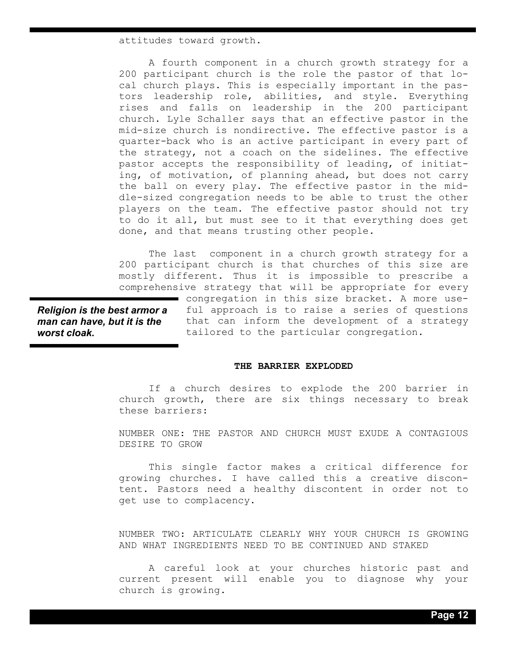attitudes toward growth.

 A fourth component in a church growth strategy for a 200 participant church is the role the pastor of that local church plays. This is especially important in the pastors leadership role, abilities, and style. Everything rises and falls on leadership in the 200 participant church. Lyle Schaller says that an effective pastor in the mid-size church is nondirective. The effective pastor is a quarter-back who is an active participant in every part of the strategy, not a coach on the sidelines. The effective pastor accepts the responsibility of leading, of initiating, of motivation, of planning ahead, but does not carry the ball on every play. The effective pastor in the middle-sized congregation needs to be able to trust the other players on the team. The effective pastor should not try to do it all, but must see to it that everything does get done, and that means trusting other people.

 The last component in a church growth strategy for a 200 participant church is that churches of this size are mostly different. Thus it is impossible to prescribe a comprehensive strategy that will be appropriate for every

*Religion is the best armor a worst cloak.* 

congregation in this size bracket. A more useful approach is to raise a series of questions *man can have, but it is the* that can inform the development of a strategy tailored to the particular congregation.

#### **THE BARRIER EXPLODED**

 If a church desires to explode the 200 barrier in church growth, there are six things necessary to break these barriers:

NUMBER ONE: THE PASTOR AND CHURCH MUST EXUDE A CONTAGIOUS DESIRE TO GROW

 This single factor makes a critical difference for growing churches. I have called this a creative discontent. Pastors need a healthy discontent in order not to get use to complacency.

NUMBER TWO: ARTICULATE CLEARLY WHY YOUR CHURCH IS GROWING AND WHAT INGREDIENTS NEED TO BE CONTINUED AND STAKED

 A careful look at your churches historic past and current present will enable you to diagnose why your church is growing.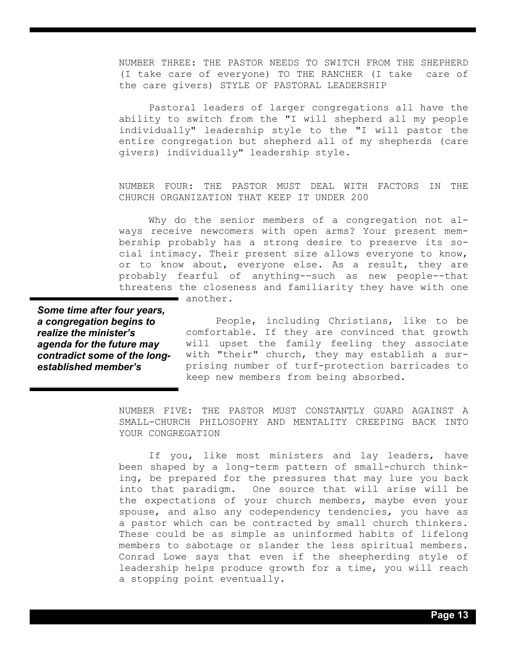NUMBER THREE: THE PASTOR NEEDS TO SWITCH FROM THE SHEPHERD (I take care of everyone) TO THE RANCHER (I take care of the care givers) STYLE OF PASTORAL LEADERSHIP

 Pastoral leaders of larger congregations all have the ability to switch from the "I will shepherd all my people individually" leadership style to the "I will pastor the entire congregation but shepherd all of my shepherds (care givers) individually" leadership style.

NUMBER FOUR: THE PASTOR MUST DEAL WITH FACTORS IN THE CHURCH ORGANIZATION THAT KEEP IT UNDER 200

 Why do the senior members of a congregation not always receive newcomers with open arms? Your present membership probably has a strong desire to preserve its social intimacy. Their present size allows everyone to know, or to know about, everyone else. As a result, they are probably fearful of anything--such as new people--that threatens the closeness and familiarity they have with one another.

*Some time after four years, a congregation begins to realize the minister's agenda for the future may established member's* 

 People, including Christians, like to be comfortable. If they are convinced that growth will upset the family feeling they associate contradict some of the long- with "their" church, they may establish a surprising number of turf-protection barricades to keep new members from being absorbed.

> NUMBER FIVE: THE PASTOR MUST CONSTANTLY GUARD AGAINST A SMALL-CHURCH PHILOSOPHY AND MENTALITY CREEPING BACK INTO YOUR CONGREGATION

> If you, like most ministers and lay leaders, have been shaped by a long-term pattern of small-church thinking, be prepared for the pressures that may lure you back into that paradigm. One source that will arise will be the expectations of your church members, maybe even your spouse, and also any codependency tendencies, you have as a pastor which can be contracted by small church thinkers. These could be as simple as uninformed habits of lifelong members to sabotage or slander the less spiritual members. Conrad Lowe says that even if the sheepherding style of leadership helps produce growth for a time, you will reach a stopping point eventually.